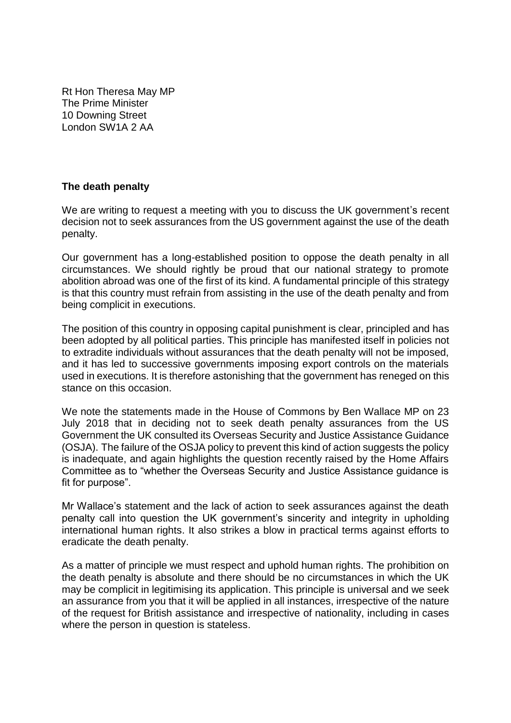Rt Hon Theresa May MP The Prime Minister 10 Downing Street London SW1A 2 AA

## **The death penalty**

We are writing to request a meeting with you to discuss the UK government's recent decision not to seek assurances from the US government against the use of the death penalty.

Our government has a long-established position to oppose the death penalty in all circumstances. We should rightly be proud that our national strategy to promote abolition abroad was one of the first of its kind. A fundamental principle of this strategy is that this country must refrain from assisting in the use of the death penalty and from being complicit in executions.

The position of this country in opposing capital punishment is clear, principled and has been adopted by all political parties. This principle has manifested itself in policies not to extradite individuals without assurances that the death penalty will not be imposed, and it has led to successive governments imposing export controls on the materials used in executions. It is therefore astonishing that the government has reneged on this stance on this occasion.

We note the statements made in the House of Commons by Ben Wallace MP on 23 July 2018 that in deciding not to seek death penalty assurances from the US Government the UK consulted its Overseas Security and Justice Assistance Guidance (OSJA). The failure of the OSJA policy to prevent this kind of action suggests the policy is inadequate, and again highlights the question recently raised by the Home Affairs Committee as to "whether the Overseas Security and Justice Assistance guidance is fit for purpose".

Mr Wallace's statement and the lack of action to seek assurances against the death penalty call into question the UK government's sincerity and integrity in upholding international human rights. It also strikes a blow in practical terms against efforts to eradicate the death penalty.

As a matter of principle we must respect and uphold human rights. The prohibition on the death penalty is absolute and there should be no circumstances in which the UK may be complicit in legitimising its application. This principle is universal and we seek an assurance from you that it will be applied in all instances, irrespective of the nature of the request for British assistance and irrespective of nationality, including in cases where the person in question is stateless.